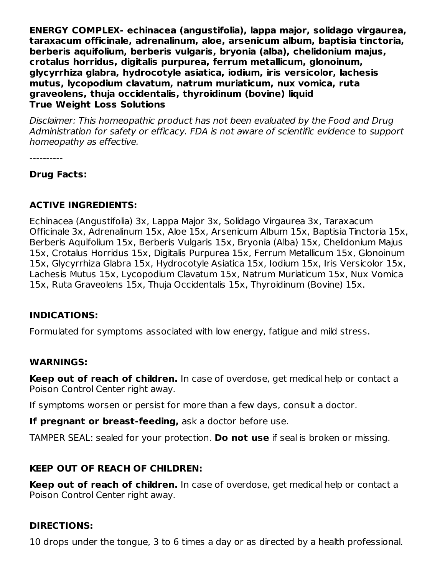**ENERGY COMPLEX- echinacea (angustifolia), lappa major, solidago virgaurea, taraxacum officinale, adrenalinum, aloe, arsenicum album, baptisia tinctoria, berberis aquifolium, berberis vulgaris, bryonia (alba), chelidonium majus, crotalus horridus, digitalis purpurea, ferrum metallicum, glonoinum, glycyrrhiza glabra, hydrocotyle asiatica, iodium, iris versicolor, lachesis mutus, lycopodium clavatum, natrum muriaticum, nux vomica, ruta graveolens, thuja occidentalis, thyroidinum (bovine) liquid True Weight Loss Solutions**

Disclaimer: This homeopathic product has not been evaluated by the Food and Drug Administration for safety or efficacy. FDA is not aware of scientific evidence to support homeopathy as effective.

----------

### **Drug Facts:**

### **ACTIVE INGREDIENTS:**

Echinacea (Angustifolia) 3x, Lappa Major 3x, Solidago Virgaurea 3x, Taraxacum Officinale 3x, Adrenalinum 15x, Aloe 15x, Arsenicum Album 15x, Baptisia Tinctoria 15x, Berberis Aquifolium 15x, Berberis Vulgaris 15x, Bryonia (Alba) 15x, Chelidonium Majus 15x, Crotalus Horridus 15x, Digitalis Purpurea 15x, Ferrum Metallicum 15x, Glonoinum 15x, Glycyrrhiza Glabra 15x, Hydrocotyle Asiatica 15x, Iodium 15x, Iris Versicolor 15x, Lachesis Mutus 15x, Lycopodium Clavatum 15x, Natrum Muriaticum 15x, Nux Vomica 15x, Ruta Graveolens 15x, Thuja Occidentalis 15x, Thyroidinum (Bovine) 15x.

### **INDICATIONS:**

Formulated for symptoms associated with low energy, fatigue and mild stress.

#### **WARNINGS:**

**Keep out of reach of children.** In case of overdose, get medical help or contact a Poison Control Center right away.

If symptoms worsen or persist for more than a few days, consult a doctor.

**If pregnant or breast-feeding,** ask a doctor before use.

TAMPER SEAL: sealed for your protection. **Do not use** if seal is broken or missing.

### **KEEP OUT OF REACH OF CHILDREN:**

**Keep out of reach of children.** In case of overdose, get medical help or contact a Poison Control Center right away.

### **DIRECTIONS:**

10 drops under the tongue, 3 to 6 times a day or as directed by a health professional.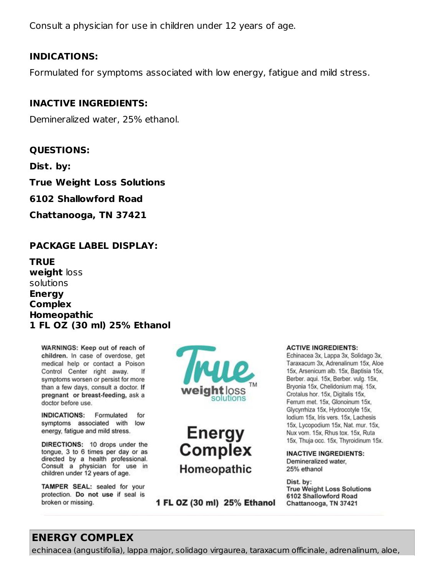Consult a physician for use in children under 12 years of age.

#### **INDICATIONS:**

Formulated for symptoms associated with low energy, fatigue and mild stress.

#### **INACTIVE INGREDIENTS:**

Demineralized water, 25% ethanol.

#### **QUESTIONS:**

**Dist. by:**

**True Weight Loss Solutions**

**6102 Shallowford Road**

**Chattanooga, TN 37421**

#### **PACKAGE LABEL DISPLAY:**

**TRUE weight** loss solutions **Energy Complex Homeopathic 1 FL OZ (30 ml) 25% Ethanol**

WARNINGS: Keep out of reach of children. In case of overdose, get medical help or contact a Poison Control Center right away. If symptoms worsen or persist for more than a few days, consult a doctor. If pregnant or breast-feeding, ask a doctor before use.

INDICATIONS: Formulated for symptoms associated with low energy, fatigue and mild stress.

DIRECTIONS: 10 drops under the tongue, 3 to 6 times per day or as directed by a health professional. Consult a physician for use in children under 12 years of age.

TAMPER SEAL: sealed for your protection. Do not use if seal is broken or missing.





1 FL OZ (30 ml) 25% Ethanol

#### **ACTIVE INGREDIENTS:**

Echinacea 3x, Lappa 3x, Solidago 3x, Taraxacum 3x, Adrenalinum 15x, Aloe 15x, Arsenicum alb. 15x, Baptisia 15x, Berber, aqui, 15x, Berber, vulg, 15x, Bryonia 15x, Chelidonium maj. 15x, Crotalus hor. 15x, Digitalis 15x, Ferrum met. 15x. Glonoinum 15x. Glycyrrhiza 15x, Hydrocotyle 15x, lodium 15x, Iris vers. 15x, Lachesis 15x, Lycopodium 15x, Nat. mur. 15x, Nux vom. 15x, Rhus tox. 15x, Ruta 15x, Thuja occ. 15x, Thyroidinum 15x.

**INACTIVE INGREDIENTS:** Demineralized water. 25% ethanol

Dist. by: **True Weight Loss Solutions** 6102 Shallowford Road Chattanooga, TN 37421

## **ENERGY COMPLEX**

echinacea (angustifolia), lappa major, solidago virgaurea, taraxacum officinale, adrenalinum, aloe,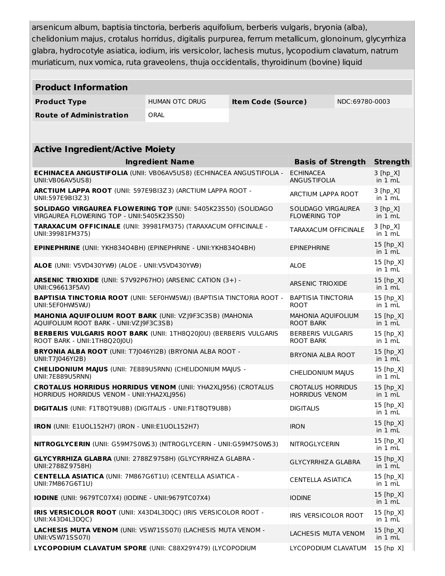arsenicum album, baptisia tinctoria, berberis aquifolium, berberis vulgaris, bryonia (alba), chelidonium majus, crotalus horridus, digitalis purpurea, ferrum metallicum, glonoinum, glycyrrhiza glabra, hydrocotyle asiatica, iodium, iris versicolor, lachesis mutus, lycopodium clavatum, natrum muriaticum, nux vomica, ruta graveolens, thuja occidentalis, thyroidinum (bovine) liquid

| <b>Product Information</b>                                                                                          |                        |  |                                                   |  |                                  |
|---------------------------------------------------------------------------------------------------------------------|------------------------|--|---------------------------------------------------|--|----------------------------------|
| <b>Product Type</b>                                                                                                 | <b>HUMAN OTC DRUG</b>  |  | NDC:69780-0003<br><b>Item Code (Source)</b>       |  |                                  |
| <b>Route of Administration</b>                                                                                      | ORAL                   |  |                                                   |  |                                  |
|                                                                                                                     |                        |  |                                                   |  |                                  |
| <b>Active Ingredient/Active Moiety</b>                                                                              |                        |  |                                                   |  |                                  |
|                                                                                                                     | <b>Ingredient Name</b> |  | <b>Basis of Strength</b>                          |  | <b>Strength</b>                  |
| <b>ECHINACEA ANGUSTIFOLIA (UNII: VB06AV5US8) (ECHINACEA ANGUSTIFOLIA -</b><br>UNII: VB06AV5US8)                     |                        |  | <b>ECHINACEA</b><br>ANGUSTIFOLIA                  |  | $3 [hp_X]$<br>in $1 mL$          |
| ARCTIUM LAPPA ROOT (UNII: 597E9BI3Z3) (ARCTIUM LAPPA ROOT -<br>UNII:597E9BI3Z3)                                     |                        |  | ARCTIUM LAPPA ROOT                                |  | $3 [hp_X]$<br>in $1 \text{ mL}$  |
| <b>SOLIDAGO VIRGAUREA FLOWERING TOP (UNII: 5405K23S50) (SOLIDAGO</b><br>VIRGAUREA FLOWERING TOP - UNII:5405K23S50)  |                        |  | SOLIDAGO VIRGAUREA<br><b>FLOWERING TOP</b>        |  | $3 [hp_X]$<br>in $1 \text{ mL}$  |
| TARAXACUM OFFICINALE (UNII: 39981FM375) (TARAXACUM OFFICINALE -<br>UNII:39981FM375)                                 |                        |  | <b>TARAXACUM OFFICINALE</b>                       |  | $3 [hp_X]$<br>in 1 mL            |
| EPINEPHRINE (UNII: YKH834O4BH) (EPINEPHRINE - UNII: YKH834O4BH)<br><b>EPINEPHRINE</b>                               |                        |  |                                                   |  | 15 [hp X]<br>in $1 \text{ mL}$   |
| ALOE (UNII: V5VD430YW9) (ALOE - UNII:V5VD430YW9)                                                                    |                        |  | <b>ALOE</b>                                       |  | 15 [hp X]<br>in $1 mL$           |
| ARSENIC TRIOXIDE (UNII: S7V92P67HO) (ARSENIC CATION (3+) -<br>UNII:C96613F5AV)                                      |                        |  | <b>ARSENIC TRIOXIDE</b>                           |  | 15 [hp X]<br>in 1 mL             |
| <b>BAPTISIA TINCTORIA ROOT (UNII: 5EFOHW5WU) (BAPTISIA TINCTORIA ROOT -</b><br>UNII:5EF0HW5WU)                      |                        |  | <b>BAPTISIA TINCTORIA</b><br><b>ROOT</b>          |  | 15 [hp X]<br>in 1 mL             |
| MAHONIA AQUIFOLIUM ROOT BARK (UNII: VZJ9F3C3SB) (MAHONIA<br>AQUIFOLIUM ROOT BARK - UNII: VZ J9F3C3SB)               |                        |  | MAHONIA AQUIFOLIUM<br><b>ROOT BARK</b>            |  | 15 [hp X]<br>in 1 mL             |
| <b>BERBERIS VULGARIS ROOT BARK (UNII: 1TH8Q20J0U) (BERBERIS VULGARIS</b><br>ROOT BARK - UNII:1TH8Q20J0U)            |                        |  | <b>BERBERIS VULGARIS</b><br><b>ROOT BARK</b>      |  | 15 [hp X]<br>in $1 mL$           |
| <b>BRYONIA ALBA ROOT</b> (UNII: T7J046YI2B) (BRYONIA ALBA ROOT -<br>BRYONIA ALBA ROOT<br>UNII:T7J046YI2B)           |                        |  |                                                   |  | 15 [hp_X]<br>in 1 mL             |
| <b>CHELIDONIUM MAJUS (UNII: 7E889U5RNN) (CHELIDONIUM MAJUS -</b><br>CHELIDONIUM MAJUS<br>UNII: 7E889U5RNN)          |                        |  |                                                   |  | 15 [hp X]<br>in 1 mL             |
| <b>CROTALUS HORRIDUS HORRIDUS VENOM (UNII: YHA2XLJ956) (CROTALUS</b><br>HORRIDUS HORRIDUS VENOM - UNII: YHA2XLJ956) |                        |  | <b>CROTALUS HORRIDUS</b><br><b>HORRIDUS VENOM</b> |  | 15 [hp X]<br>in $1 \text{ mL}$   |
| <b>DIGITALIS</b> (UNII: F1T8QT9U8B) (DIGITALIS - UNII:F1T8QT9U8B)                                                   |                        |  | <b>DIGITALIS</b>                                  |  | 15 [hp X]<br>in $1 \text{ mL}$   |
| <b>IRON</b> (UNII: E1UOL152H7) (IRON - UNII:E1UOL152H7)                                                             |                        |  | <b>IRON</b>                                       |  | 15 [hp X]<br>in 1 mL             |
| NITROGLYCERIN (UNII: G59M7S0WS3) (NITROGLYCERIN - UNII:G59M7S0WS3)                                                  |                        |  | <b>NITROGLYCERIN</b>                              |  | 15 [hp X]<br>in 1 mL             |
| <b>GLYCYRRHIZA GLABRA (UNII: 2788Z9758H) (GLYCYRRHIZA GLABRA -</b><br>UNII:2788Z9758H)                              |                        |  | <b>GLYCYRRHIZA GLABRA</b>                         |  | 15 [hp_X]<br>in $1 \text{ mL}$   |
| <b>CENTELLA ASIATICA (UNII: 7M867G6T1U) (CENTELLA ASIATICA -</b><br>UNII: 7M867G6T1U)                               |                        |  | <b>CENTELLA ASIATICA</b>                          |  | 15 [hp X]<br>in $1 \overline{m}$ |
| <b>IODINE</b> (UNII: 9679TC07X4) (IODINE - UNII:9679TC07X4)                                                         |                        |  | <b>IODINE</b>                                     |  | 15 [hp X]<br>in 1 mL             |
| <b>IRIS VERSICOLOR ROOT (UNII: X43D4L3DOC) (IRIS VERSICOLOR ROOT -</b><br>IRIS VERSICOLOR ROOT<br>UNII: X43D4L3DQC) |                        |  |                                                   |  |                                  |
| LACHESIS MUTA VENOM (UNII: VSW71SS07I) (LACHESIS MUTA VENOM -<br>LACHESIS MUTA VENOM<br>UNII: VSW71SS07I)           |                        |  |                                                   |  |                                  |
| LYCOPODIUM CLAVATUM SPORE (UNII: C88X29Y479) (LYCOPODIUM                                                            |                        |  | LYCOPODIUM CLAVATUM                               |  | 15 [hp X]                        |